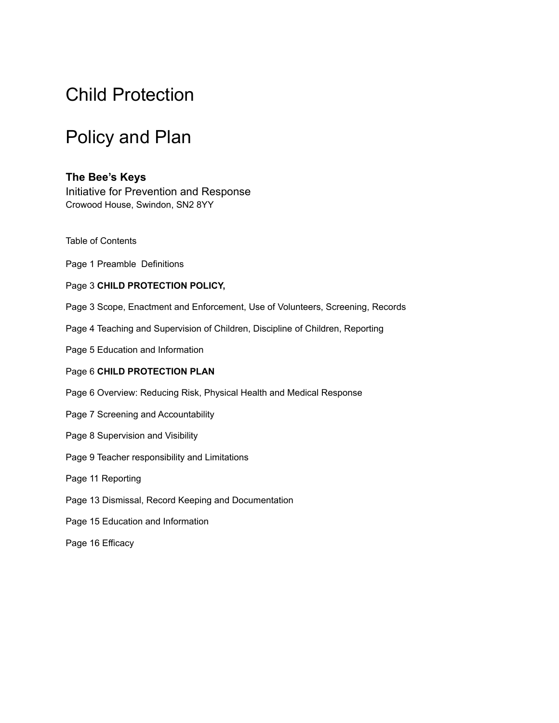# Child Protection

# Policy and Plan

#### **The Bee's Keys**

Initiative for Prevention and Response Crowood House, Swindon, SN2 8YY

- Table of Contents
- Page 1 Preamble Definitions
- Page 3 **CHILD PROTECTION POLICY,**
- Page 3 Scope, Enactment and Enforcement, Use of Volunteers, Screening, Records
- Page 4 Teaching and Supervision of Children, Discipline of Children, Reporting
- Page 5 Education and Information

#### Page 6 **CHILD PROTECTION PLAN**

- Page 6 Overview: Reducing Risk, Physical Health and Medical Response
- Page 7 Screening and Accountability
- Page 8 Supervision and Visibility
- Page 9 Teacher responsibility and Limitations
- Page 11 Reporting
- Page 13 Dismissal, Record Keeping and Documentation
- Page 15 Education and Information
- Page 16 Efficacy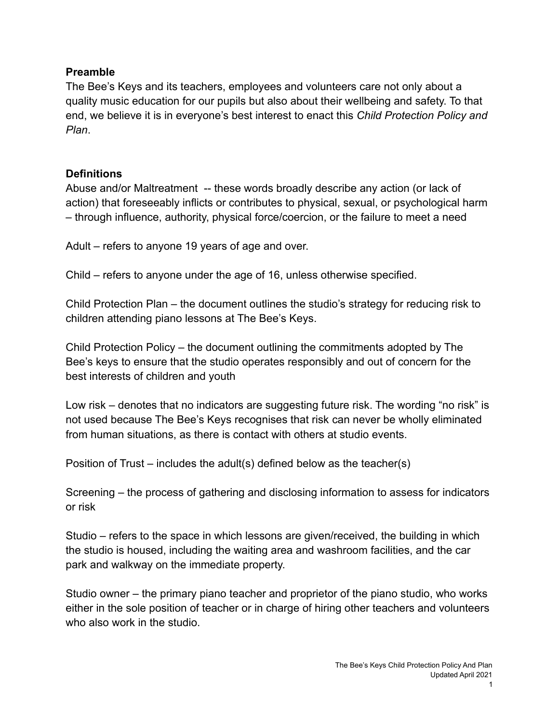#### **Preamble**

The Bee's Keys and its teachers, employees and volunteers care not only about a quality music education for our pupils but also about their wellbeing and safety. To that end, we believe it is in everyone's best interest to enact this *Child Protection Policy and Plan*.

# **Definitions**

Abuse and/or Maltreatment -- these words broadly describe any action (or lack of action) that foreseeably inflicts or contributes to physical, sexual, or psychological harm – through influence, authority, physical force/coercion, or the failure to meet a need

Adult – refers to anyone 19 years of age and over.

Child – refers to anyone under the age of 16, unless otherwise specified.

Child Protection Plan – the document outlines the studio's strategy for reducing risk to children attending piano lessons at The Bee's Keys.

Child Protection Policy – the document outlining the commitments adopted by The Bee's keys to ensure that the studio operates responsibly and out of concern for the best interests of children and youth

Low risk – denotes that no indicators are suggesting future risk. The wording "no risk" is not used because The Bee's Keys recognises that risk can never be wholly eliminated from human situations, as there is contact with others at studio events.

Position of Trust – includes the adult(s) defined below as the teacher(s)

Screening – the process of gathering and disclosing information to assess for indicators or risk

Studio – refers to the space in which lessons are given/received, the building in which the studio is housed, including the waiting area and washroom facilities, and the car park and walkway on the immediate property.

Studio owner – the primary piano teacher and proprietor of the piano studio, who works either in the sole position of teacher or in charge of hiring other teachers and volunteers who also work in the studio.

1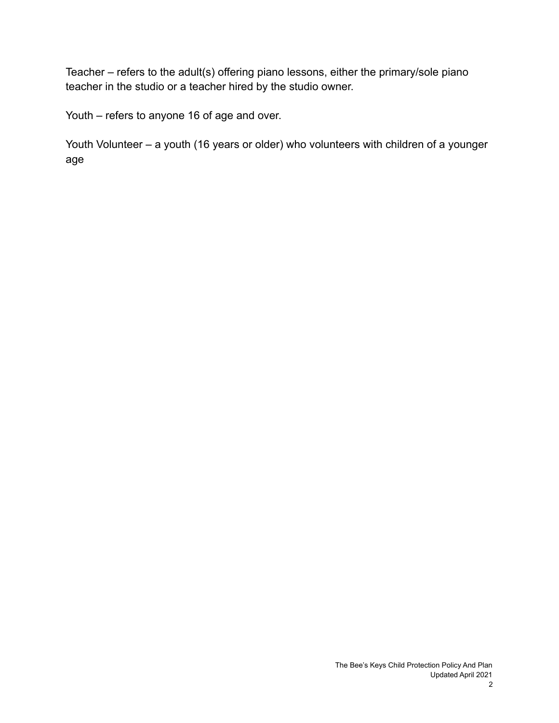Teacher – refers to the adult(s) offering piano lessons, either the primary/sole piano teacher in the studio or a teacher hired by the studio owner.

Youth – refers to anyone 16 of age and over.

Youth Volunteer – a youth (16 years or older) who volunteers with children of a younger age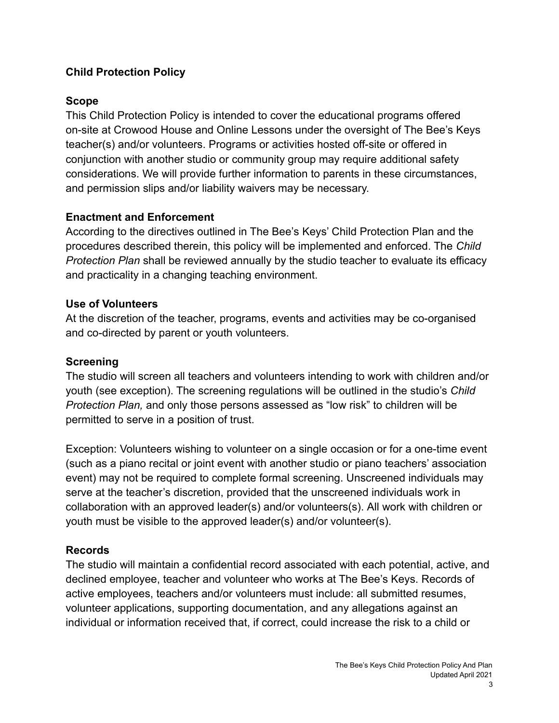# **Child Protection Policy**

#### **Scope**

This Child Protection Policy is intended to cover the educational programs offered on-site at Crowood House and Online Lessons under the oversight of The Bee's Keys teacher(s) and/or volunteers. Programs or activities hosted off-site or offered in conjunction with another studio or community group may require additional safety considerations. We will provide further information to parents in these circumstances, and permission slips and/or liability waivers may be necessary.

### **Enactment and Enforcement**

According to the directives outlined in The Bee's Keys' Child Protection Plan and the procedures described therein, this policy will be implemented and enforced. The *Child Protection Plan* shall be reviewed annually by the studio teacher to evaluate its efficacy and practicality in a changing teaching environment.

#### **Use of Volunteers**

At the discretion of the teacher, programs, events and activities may be co-organised and co-directed by parent or youth volunteers.

#### **Screening**

The studio will screen all teachers and volunteers intending to work with children and/or youth (see exception). The screening regulations will be outlined in the studio's *Child Protection Plan,* and only those persons assessed as "low risk" to children will be permitted to serve in a position of trust.

Exception: Volunteers wishing to volunteer on a single occasion or for a one-time event (such as a piano recital or joint event with another studio or piano teachers' association event) may not be required to complete formal screening. Unscreened individuals may serve at the teacher's discretion, provided that the unscreened individuals work in collaboration with an approved leader(s) and/or volunteers(s). All work with children or youth must be visible to the approved leader(s) and/or volunteer(s).

#### **Records**

The studio will maintain a confidential record associated with each potential, active, and declined employee, teacher and volunteer who works at The Bee's Keys. Records of active employees, teachers and/or volunteers must include: all submitted resumes, volunteer applications, supporting documentation, and any allegations against an individual or information received that, if correct, could increase the risk to a child or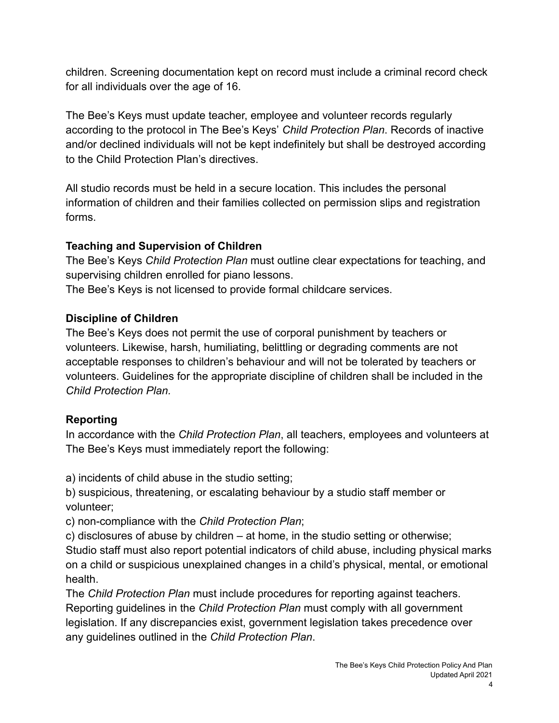children. Screening documentation kept on record must include a criminal record check for all individuals over the age of 16.

The Bee's Keys must update teacher, employee and volunteer records regularly according to the protocol in The Bee's Keys' *Child Protection Plan*. Records of inactive and/or declined individuals will not be kept indefinitely but shall be destroyed according to the Child Protection Plan's directives.

All studio records must be held in a secure location. This includes the personal information of children and their families collected on permission slips and registration forms.

# **Teaching and Supervision of Children**

The Bee's Keys *Child Protection Plan* must outline clear expectations for teaching, and supervising children enrolled for piano lessons.

The Bee's Keys is not licensed to provide formal childcare services.

# **Discipline of Children**

The Bee's Keys does not permit the use of corporal punishment by teachers or volunteers. Likewise, harsh, humiliating, belittling or degrading comments are not acceptable responses to children's behaviour and will not be tolerated by teachers or volunteers. Guidelines for the appropriate discipline of children shall be included in the *Child Protection Plan.*

# **Reporting**

In accordance with the *Child Protection Plan*, all teachers, employees and volunteers at The Bee's Keys must immediately report the following:

a) incidents of child abuse in the studio setting;

b) suspicious, threatening, or escalating behaviour by a studio staff member or volunteer;

c) non-compliance with the *Child Protection Plan*;

c) disclosures of abuse by children – at home, in the studio setting or otherwise; Studio staff must also report potential indicators of child abuse, including physical marks on a child or suspicious unexplained changes in a child's physical, mental, or emotional health.

The *Child Protection Plan* must include procedures for reporting against teachers. Reporting guidelines in the *Child Protection Plan* must comply with all government legislation. If any discrepancies exist, government legislation takes precedence over any guidelines outlined in the *Child Protection Plan*.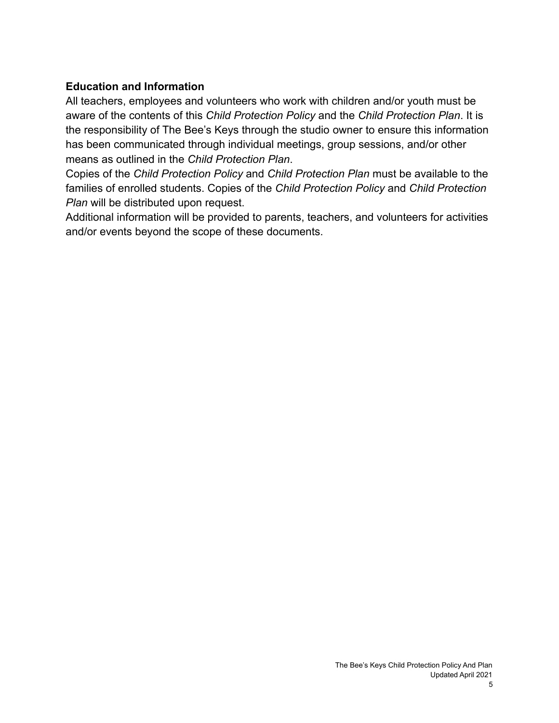# **Education and Information**

All teachers, employees and volunteers who work with children and/or youth must be aware of the contents of this *Child Protection Policy* and the *Child Protection Plan*. It is the responsibility of The Bee's Keys through the studio owner to ensure this information has been communicated through individual meetings, group sessions, and/or other means as outlined in the *Child Protection Plan*.

Copies of the *Child Protection Policy* and *Child Protection Plan* must be available to the families of enrolled students. Copies of the *Child Protection Policy* and *Child Protection Plan* will be distributed upon request.

Additional information will be provided to parents, teachers, and volunteers for activities and/or events beyond the scope of these documents.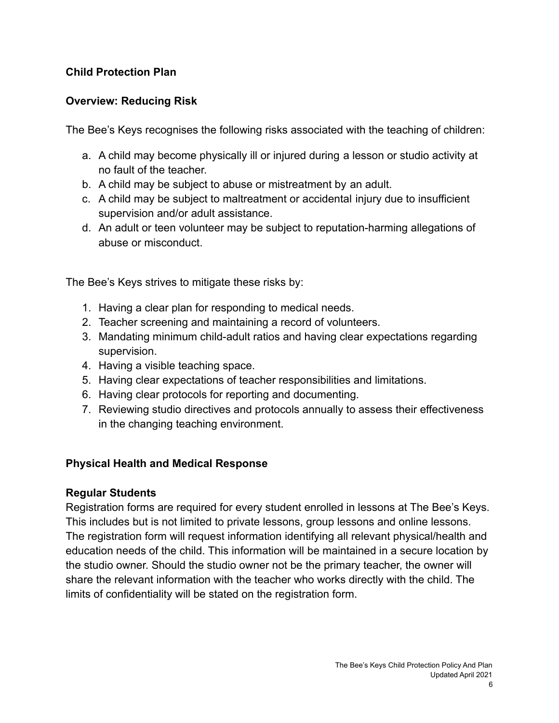### **Child Protection Plan**

### **Overview: Reducing Risk**

The Bee's Keys recognises the following risks associated with the teaching of children:

- a. A child may become physically ill or injured during a lesson or studio activity at no fault of the teacher.
- b. A child may be subject to abuse or mistreatment by an adult.
- c. A child may be subject to maltreatment or accidental injury due to insufficient supervision and/or adult assistance.
- d. An adult or teen volunteer may be subject to reputation-harming allegations of abuse or misconduct.

The Bee's Keys strives to mitigate these risks by:

- 1. Having a clear plan for responding to medical needs.
- 2. Teacher screening and maintaining a record of volunteers.
- 3. Mandating minimum child-adult ratios and having clear expectations regarding supervision.
- 4. Having a visible teaching space.
- 5. Having clear expectations of teacher responsibilities and limitations.
- 6. Having clear protocols for reporting and documenting.
- 7. Reviewing studio directives and protocols annually to assess their effectiveness in the changing teaching environment.

#### **Physical Health and Medical Response**

#### **Regular Students**

Registration forms are required for every student enrolled in lessons at The Bee's Keys. This includes but is not limited to private lessons, group lessons and online lessons. The registration form will request information identifying all relevant physical/health and education needs of the child. This information will be maintained in a secure location by the studio owner. Should the studio owner not be the primary teacher, the owner will share the relevant information with the teacher who works directly with the child. The limits of confidentiality will be stated on the registration form.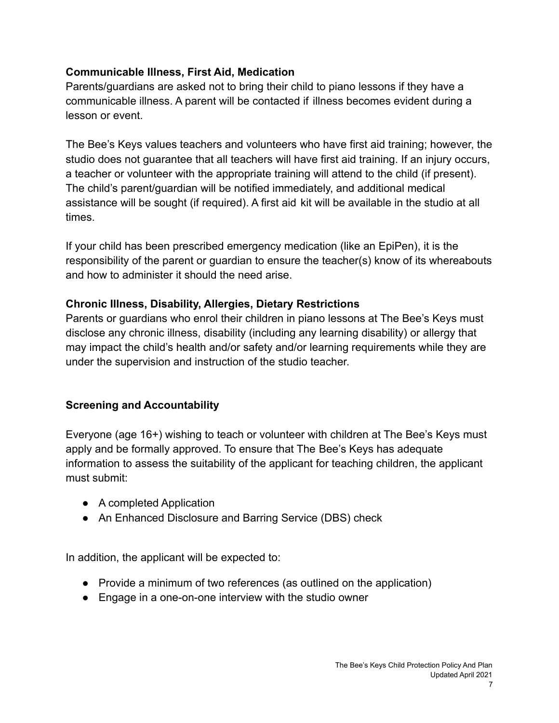# **Communicable Illness, First Aid, Medication**

Parents/guardians are asked not to bring their child to piano lessons if they have a communicable illness. A parent will be contacted if illness becomes evident during a lesson or event.

The Bee's Keys values teachers and volunteers who have first aid training; however, the studio does not guarantee that all teachers will have first aid training. If an injury occurs, a teacher or volunteer with the appropriate training will attend to the child (if present). The child's parent/guardian will be notified immediately, and additional medical assistance will be sought (if required). A first aid kit will be available in the studio at all times.

If your child has been prescribed emergency medication (like an EpiPen), it is the responsibility of the parent or guardian to ensure the teacher(s) know of its whereabouts and how to administer it should the need arise.

### **Chronic Illness, Disability, Allergies, Dietary Restrictions**

Parents or guardians who enrol their children in piano lessons at The Bee's Keys must disclose any chronic illness, disability (including any learning disability) or allergy that may impact the child's health and/or safety and/or learning requirements while they are under the supervision and instruction of the studio teacher.

# **Screening and Accountability**

Everyone (age 16+) wishing to teach or volunteer with children at The Bee's Keys must apply and be formally approved. To ensure that The Bee's Keys has adequate information to assess the suitability of the applicant for teaching children, the applicant must submit:

- A completed Application
- An Enhanced Disclosure and Barring Service (DBS) check

In addition, the applicant will be expected to:

- Provide a minimum of two references (as outlined on the application)
- Engage in a one-on-one interview with the studio owner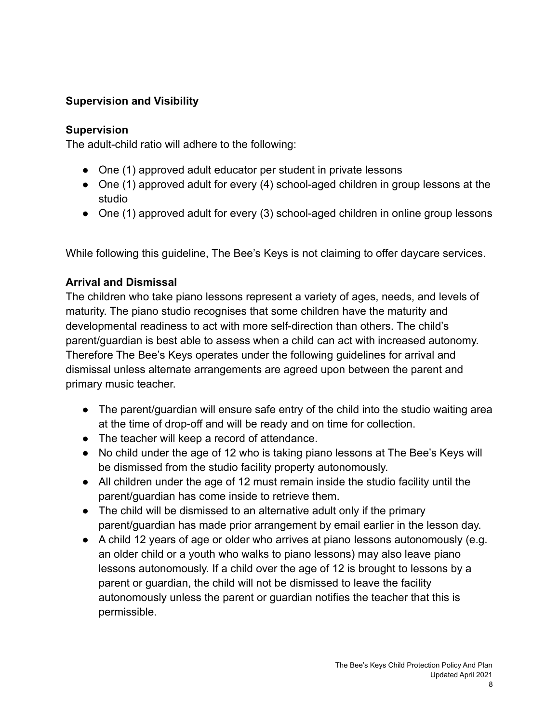# **Supervision and Visibility**

#### **Supervision**

The adult-child ratio will adhere to the following:

- One (1) approved adult educator per student in private lessons
- One (1) approved adult for every (4) school-aged children in group lessons at the studio
- One (1) approved adult for every (3) school-aged children in online group lessons

While following this guideline, The Bee's Keys is not claiming to offer daycare services.

# **Arrival and Dismissal**

The children who take piano lessons represent a variety of ages, needs, and levels of maturity. The piano studio recognises that some children have the maturity and developmental readiness to act with more self-direction than others. The child's parent/guardian is best able to assess when a child can act with increased autonomy. Therefore The Bee's Keys operates under the following guidelines for arrival and dismissal unless alternate arrangements are agreed upon between the parent and primary music teacher.

- The parent/quardian will ensure safe entry of the child into the studio waiting area at the time of drop-off and will be ready and on time for collection.
- The teacher will keep a record of attendance.
- No child under the age of 12 who is taking piano lessons at The Bee's Keys will be dismissed from the studio facility property autonomously.
- All children under the age of 12 must remain inside the studio facility until the parent/guardian has come inside to retrieve them.
- The child will be dismissed to an alternative adult only if the primary parent/guardian has made prior arrangement by email earlier in the lesson day.
- A child 12 years of age or older who arrives at piano lessons autonomously (e.g. an older child or a youth who walks to piano lessons) may also leave piano lessons autonomously. If a child over the age of 12 is brought to lessons by a parent or guardian, the child will not be dismissed to leave the facility autonomously unless the parent or guardian notifies the teacher that this is permissible.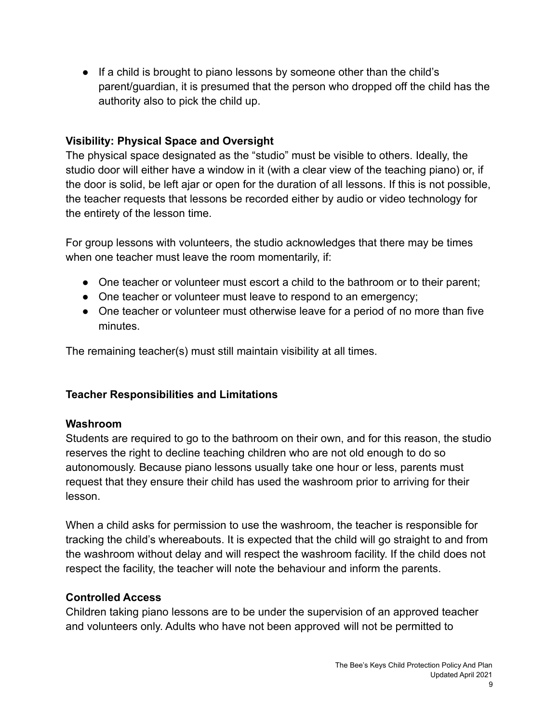● If a child is brought to piano lessons by someone other than the child's parent/guardian, it is presumed that the person who dropped off the child has the authority also to pick the child up.

### **Visibility: Physical Space and Oversight**

The physical space designated as the "studio" must be visible to others. Ideally, the studio door will either have a window in it (with a clear view of the teaching piano) or, if the door is solid, be left ajar or open for the duration of all lessons. If this is not possible, the teacher requests that lessons be recorded either by audio or video technology for the entirety of the lesson time.

For group lessons with volunteers, the studio acknowledges that there may be times when one teacher must leave the room momentarily, if:

- One teacher or volunteer must escort a child to the bathroom or to their parent;
- One teacher or volunteer must leave to respond to an emergency;
- One teacher or volunteer must otherwise leave for a period of no more than five minutes.

The remaining teacher(s) must still maintain visibility at all times.

#### **Teacher Responsibilities and Limitations**

#### **Washroom**

Students are required to go to the bathroom on their own, and for this reason, the studio reserves the right to decline teaching children who are not old enough to do so autonomously. Because piano lessons usually take one hour or less, parents must request that they ensure their child has used the washroom prior to arriving for their lesson.

When a child asks for permission to use the washroom, the teacher is responsible for tracking the child's whereabouts. It is expected that the child will go straight to and from the washroom without delay and will respect the washroom facility. If the child does not respect the facility, the teacher will note the behaviour and inform the parents.

#### **Controlled Access**

Children taking piano lessons are to be under the supervision of an approved teacher and volunteers only. Adults who have not been approved will not be permitted to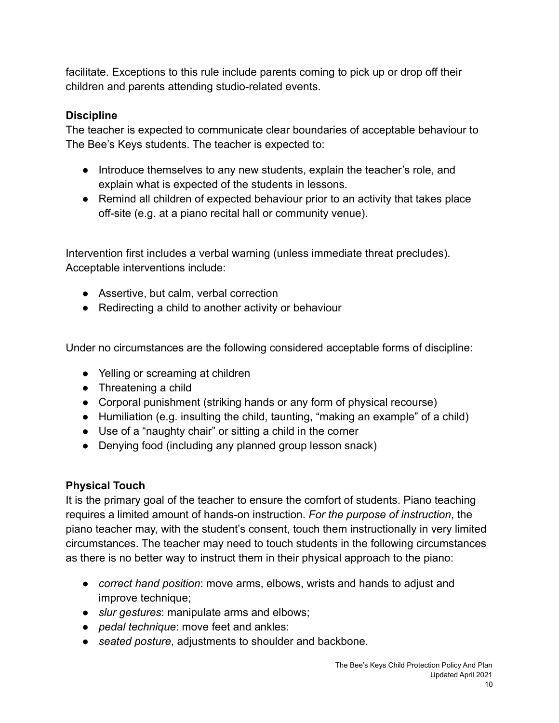facilitate. Exceptions to this rule include parents coming to pick up or drop off their children and parents attending studio-related events.

# **Discipline**

The teacher is expected to communicate clear boundaries of acceptable behaviour to The Bee's Keys students. The teacher is expected to:

- Introduce themselves to any new students, explain the teacher's role, and explain what is expected of the students in lessons.
- Remind all children of expected behaviour prior to an activity that takes place off-site (e.g. at a piano recital hall or community venue).

Intervention first includes a verbal warning (unless immediate threat precludes). Acceptable interventions include:

- Assertive, but calm, verbal correction
- Redirecting a child to another activity or behaviour

Under no circumstances are the following considered acceptable forms of discipline:

- Yelling or screaming at children
- Threatening a child
- Corporal punishment (striking hands or any form of physical recourse)
- Humiliation (e.g. insulting the child, taunting, "making an example" of a child)
- Use of a "naughty chair" or sitting a child in the corner
- Denying food (including any planned group lesson snack)

# **Physical Touch**

It is the primary goal of the teacher to ensure the comfort of students. Piano teaching requires a limited amount of hands-on instruction. *For the purpose of instruction*, the piano teacher may, with the student's consent, touch them instructionally in very limited circumstances. The teacher may need to touch students in the following circumstances as there is no better way to instruct them in their physical approach to the piano:

- *correct hand position*: move arms, elbows, wrists and hands to adjust and improve technique;
- *slur gestures*: manipulate arms and elbows;
- *pedal technique*: move feet and ankles:
- *seated posture*, adjustments to shoulder and backbone.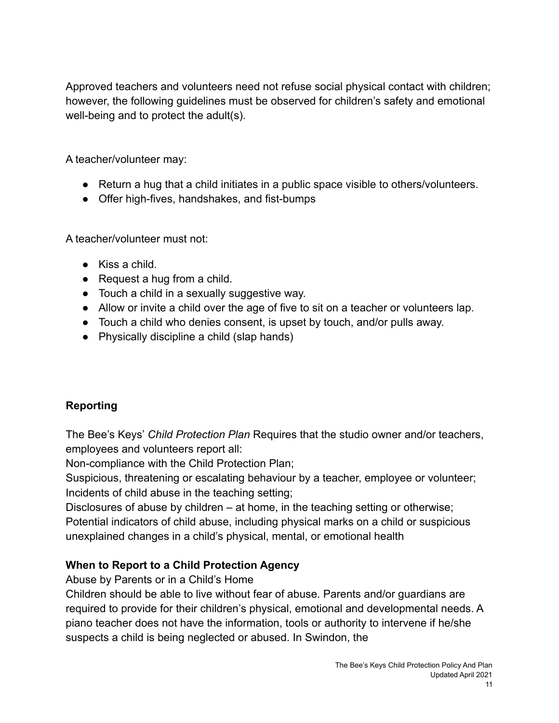Approved teachers and volunteers need not refuse social physical contact with children; however, the following guidelines must be observed for children's safety and emotional well-being and to protect the adult(s).

A teacher/volunteer may:

- Return a hug that a child initiates in a public space visible to others/volunteers.
- Offer high-fives, handshakes, and fist-bumps

A teacher/volunteer must not:

- Kiss a child.
- $\bullet$  Request a hug from a child.
- Touch a child in a sexually suggestive way.
- Allow or invite a child over the age of five to sit on a teacher or volunteers lap.
- Touch a child who denies consent, is upset by touch, and/or pulls away.
- Physically discipline a child (slap hands)

# **Reporting**

The Bee's Keys' *Child Protection Plan* Requires that the studio owner and/or teachers, employees and volunteers report all:

Non-compliance with the Child Protection Plan;

Suspicious, threatening or escalating behaviour by a teacher, employee or volunteer; Incidents of child abuse in the teaching setting;

Disclosures of abuse by children – at home, in the teaching setting or otherwise; Potential indicators of child abuse, including physical marks on a child or suspicious unexplained changes in a child's physical, mental, or emotional health

# **When to Report to a Child Protection Agency**

Abuse by Parents or in a Child's Home

Children should be able to live without fear of abuse. Parents and/or guardians are required to provide for their children's physical, emotional and developmental needs. A piano teacher does not have the information, tools or authority to intervene if he/she suspects a child is being neglected or abused. In Swindon, the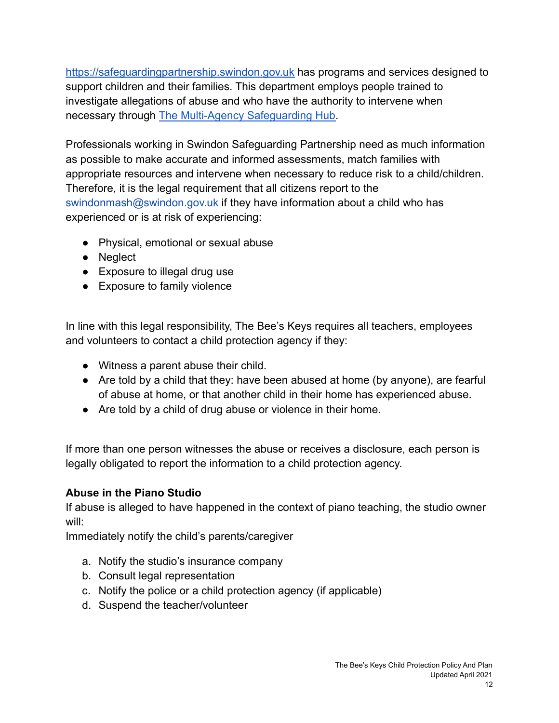<https://safeguardingpartnership.swindon.gov.uk> has programs and services designed to support children and their families. This department employs people trained to investigate allegations of abuse and who have the authority to intervene when necessary through [The Multi-Agency Safeguarding Hub.](https://www.swindon.gov.uk/info/20043/child_protection/43/family_contact_point_andamp_multi_agency_safeguarding_hub.)

Professionals working in Swindon Safeguarding Partnership need as much information as possible to make accurate and informed assessments, match families with appropriate resources and intervene when necessary to reduce risk to a child/children. Therefore, it is the legal requirement that all citizens report to the swindonmash@swindon.gov.uk if they have information about a child who has experienced or is at risk of experiencing:

- Physical, emotional or sexual abuse
- Neglect
- Exposure to illegal drug use
- Exposure to family violence

In line with this legal responsibility, The Bee's Keys requires all teachers, employees and volunteers to contact a child protection agency if they:

- Witness a parent abuse their child.
- Are told by a child that they: have been abused at home (by anyone), are fearful of abuse at home, or that another child in their home has experienced abuse.
- Are told by a child of drug abuse or violence in their home.

If more than one person witnesses the abuse or receives a disclosure, each person is legally obligated to report the information to a child protection agency.

# **Abuse in the Piano Studio**

If abuse is alleged to have happened in the context of piano teaching, the studio owner will:

Immediately notify the child's parents/caregiver

- a. Notify the studio's insurance company
- b. Consult legal representation
- c. Notify the police or a child protection agency (if applicable)
- d. Suspend the teacher/volunteer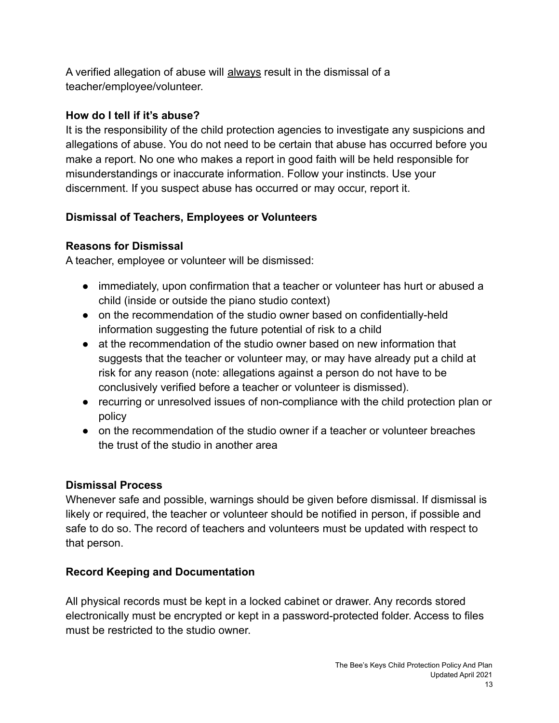A verified allegation of abuse will always result in the dismissal of a teacher/employee/volunteer.

## **How do I tell if it's abuse?**

It is the responsibility of the child protection agencies to investigate any suspicions and allegations of abuse. You do not need to be certain that abuse has occurred before you make a report. No one who makes a report in good faith will be held responsible for misunderstandings or inaccurate information. Follow your instincts. Use your discernment. If you suspect abuse has occurred or may occur, report it.

# **Dismissal of Teachers, Employees or Volunteers**

# **Reasons for Dismissal**

A teacher, employee or volunteer will be dismissed:

- immediately, upon confirmation that a teacher or volunteer has hurt or abused a child (inside or outside the piano studio context)
- on the recommendation of the studio owner based on confidentially-held information suggesting the future potential of risk to a child
- at the recommendation of the studio owner based on new information that suggests that the teacher or volunteer may, or may have already put a child at risk for any reason (note: allegations against a person do not have to be conclusively verified before a teacher or volunteer is dismissed).
- recurring or unresolved issues of non-compliance with the child protection plan or policy
- on the recommendation of the studio owner if a teacher or volunteer breaches the trust of the studio in another area

# **Dismissal Process**

Whenever safe and possible, warnings should be given before dismissal. If dismissal is likely or required, the teacher or volunteer should be notified in person, if possible and safe to do so. The record of teachers and volunteers must be updated with respect to that person.

# **Record Keeping and Documentation**

All physical records must be kept in a locked cabinet or drawer. Any records stored electronically must be encrypted or kept in a password-protected folder. Access to files must be restricted to the studio owner.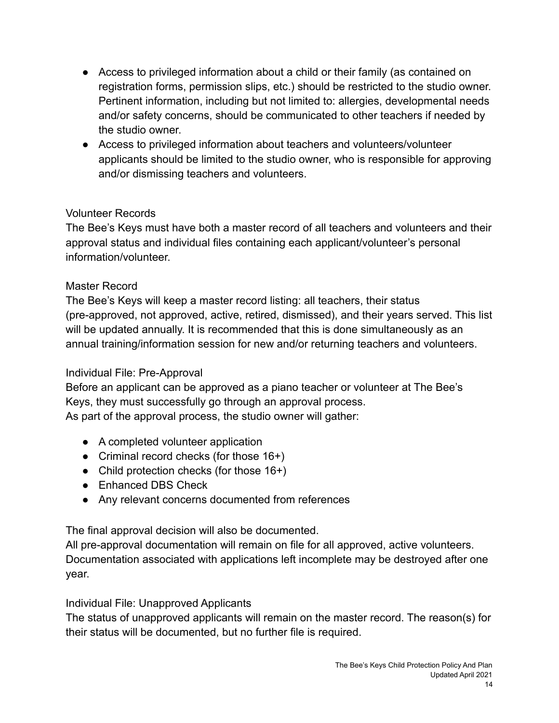- Access to privileged information about a child or their family (as contained on registration forms, permission slips, etc.) should be restricted to the studio owner. Pertinent information, including but not limited to: allergies, developmental needs and/or safety concerns, should be communicated to other teachers if needed by the studio owner.
- Access to privileged information about teachers and volunteers/volunteer applicants should be limited to the studio owner, who is responsible for approving and/or dismissing teachers and volunteers.

### Volunteer Records

The Bee's Keys must have both a master record of all teachers and volunteers and their approval status and individual files containing each applicant/volunteer's personal information/volunteer.

### Master Record

The Bee's Keys will keep a master record listing: all teachers, their status (pre-approved, not approved, active, retired, dismissed), and their years served. This list will be updated annually. It is recommended that this is done simultaneously as an annual training/information session for new and/or returning teachers and volunteers.

#### Individual File: Pre-Approval

Before an applicant can be approved as a piano teacher or volunteer at The Bee's Keys, they must successfully go through an approval process. As part of the approval process, the studio owner will gather:

- A completed volunteer application
- Criminal record checks (for those 16+)
- Child protection checks (for those  $16+$ )
- Enhanced DBS Check
- Any relevant concerns documented from references

The final approval decision will also be documented.

All pre-approval documentation will remain on file for all approved, active volunteers. Documentation associated with applications left incomplete may be destroyed after one year.

#### Individual File: Unapproved Applicants

The status of unapproved applicants will remain on the master record. The reason(s) for their status will be documented, but no further file is required.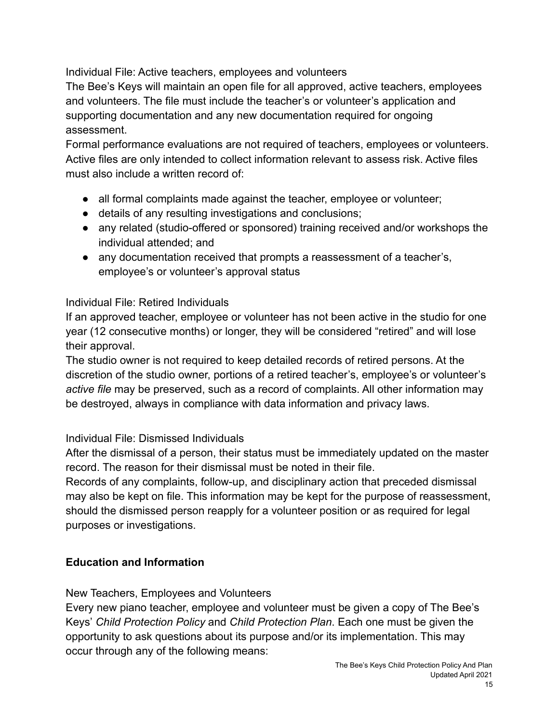Individual File: Active teachers, employees and volunteers

The Bee's Keys will maintain an open file for all approved, active teachers, employees and volunteers. The file must include the teacher's or volunteer's application and supporting documentation and any new documentation required for ongoing assessment.

Formal performance evaluations are not required of teachers, employees or volunteers. Active files are only intended to collect information relevant to assess risk. Active files must also include a written record of:

- all formal complaints made against the teacher, employee or volunteer;
- details of any resulting investigations and conclusions;
- any related (studio-offered or sponsored) training received and/or workshops the individual attended; and
- any documentation received that prompts a reassessment of a teacher's, employee's or volunteer's approval status

#### Individual File: Retired Individuals

If an approved teacher, employee or volunteer has not been active in the studio for one year (12 consecutive months) or longer, they will be considered "retired" and will lose their approval.

The studio owner is not required to keep detailed records of retired persons. At the discretion of the studio owner, portions of a retired teacher's, employee's or volunteer's *active file* may be preserved, such as a record of complaints. All other information may be destroyed, always in compliance with data information and privacy laws.

#### Individual File: Dismissed Individuals

After the dismissal of a person, their status must be immediately updated on the master record. The reason for their dismissal must be noted in their file.

Records of any complaints, follow-up, and disciplinary action that preceded dismissal may also be kept on file. This information may be kept for the purpose of reassessment, should the dismissed person reapply for a volunteer position or as required for legal purposes or investigations.

# **Education and Information**

New Teachers, Employees and Volunteers

Every new piano teacher, employee and volunteer must be given a copy of The Bee's Keys' *Child Protection Policy* and *Child Protection Plan*. Each one must be given the opportunity to ask questions about its purpose and/or its implementation. This may occur through any of the following means: